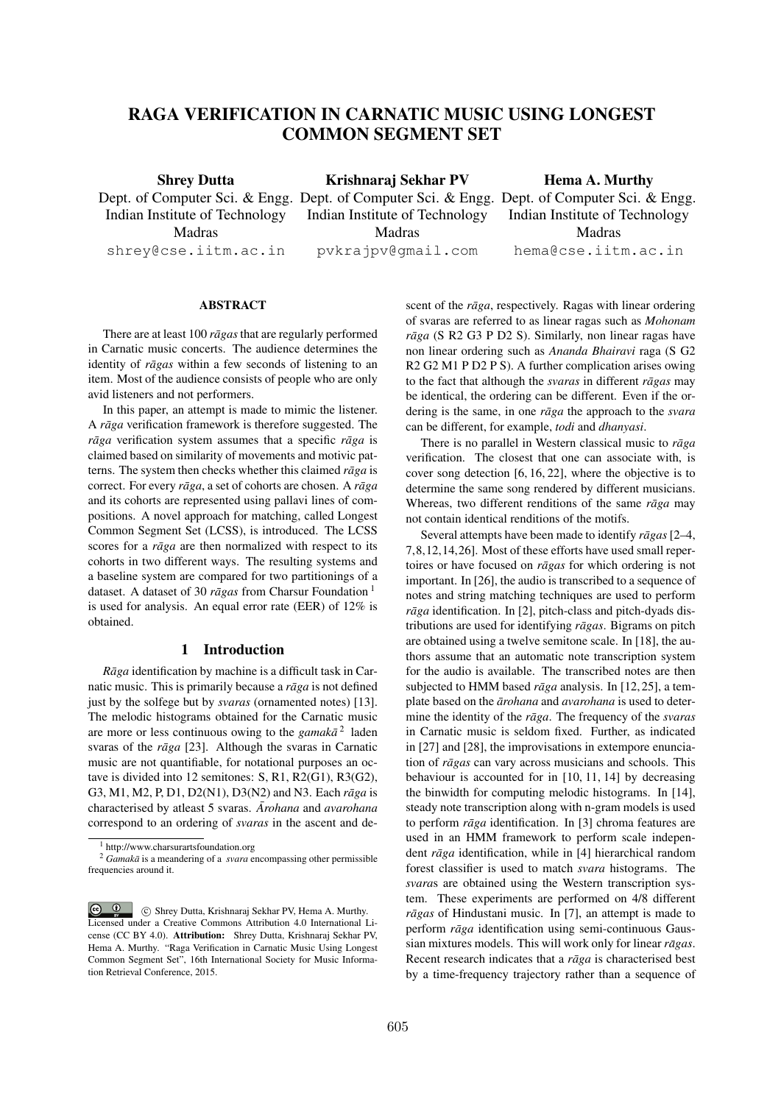# RAGA VERIFICATION IN CARNATIC MUSIC USING LONGEST COMMON SEGMENT SET

Shrey Dutta Dept. of Computer Sci. & Engg. Dept. of Computer Sci. & Engg. Dept. of Computer Sci. & Engg. Indian Institute of Technology Madras shrey@cse.iitm.ac.in Krishnaraj Sekhar PV Indian Institute of Technology Madras pvkrajpv@gmail.com Hema A. Murthy Indian Institute of Technology Madras hema@cse.iitm.ac.in

#### ABSTRACT

There are at least 100 *rāgas* that are regularly performed in Carnatic music concerts. The audience determines the identity of *rāgas* within a few seconds of listening to an item. Most of the audience consists of people who are only avid listeners and not performers.

In this paper, an attempt is made to mimic the listener. A *rāga* verification framework is therefore suggested. The  $r\bar{a}g$  verification system assumes that a specific  $r\bar{a}g$  is claimed based on similarity of movements and motivic patterns. The system then checks whether this claimed *raga* is correct. For every *rāga*, a set of cohorts are chosen. A *rāga* and its cohorts are represented using pallavi lines of compositions. A novel approach for matching, called Longest Common Segment Set (LCSS), is introduced. The LCSS scores for a *raga* are then normalized with respect to its cohorts in two different ways. The resulting systems and a baseline system are compared for two partitionings of a dataset. A dataset of 30  $r\bar{a}gas$  from Charsur Foundation<sup>1</sup> is used for analysis. An equal error rate (EER) of 12% is obtained.

### 1 Introduction

*Rāga* identification by machine is a difficult task in Carnatic music. This is primarily because a *rāga* is not defined just by the solfege but by *svaras* (ornamented notes) [13]. The melodic histograms obtained for the Carnatic music are more or less continuous owing to the *gamaka*<sup>2</sup> laden svaras of the *rāga* [23]. Although the svaras in Carnatic music are not quantifiable, for notational purposes an octave is divided into 12 semitones: S, R1, R2(G1), R3(G2), G3, M1, M2, P, D1, D2(N1), D3(N2) and N3. Each *r* $\bar{a}g\bar{a}$  is characterised by atleast 5 svaras. *Arohana* and *avarohana* correspond to an ordering of *svaras* in the ascent and descent of the *rāga*, respectively. Ragas with linear ordering of svaras are referred to as linear ragas such as *Mohonam rāga* (S R2 G3 P D2 S). Similarly, non linear ragas have non linear ordering such as *Ananda Bhairavi* raga (S G2 R2 G2 M1 P D2 P S). A further complication arises owing to the fact that although the *svaras* in different *ragas* may be identical, the ordering can be different. Even if the ordering is the same, in one *rāga* the approach to the *svara* can be different, for example, *todi* and *dhanyasi*.

There is no parallel in Western classical music to *rāga* verification. The closest that one can associate with, is cover song detection [6, 16, 22], where the objective is to determine the same song rendered by different musicians. Whereas, two different renditions of the same *raga* may not contain identical renditions of the motifs.

Several attempts have been made to identify *ragas* [2–4, 7,8,12,14,26]. Most of these efforts have used small repertoires or have focused on *rāgas* for which ordering is not important. In [26], the audio is transcribed to a sequence of notes and string matching techniques are used to perform  $r\bar{a}g\bar{a}$  identification. In [2], pitch-class and pitch-dyads distributions are used for identifying *rāgas*. Bigrams on pitch are obtained using a twelve semitone scale. In [18], the authors assume that an automatic note transcription system for the audio is available. The transcribed notes are then subiected to HMM based *rāga* analysis. In [12,25], a template based on the *ārohana* and *avarohana* is used to determine the identity of the *raga ¯* . The frequency of the *svaras* in Carnatic music is seldom fixed. Further, as indicated in [27] and [28], the improvisations in extempore enunciation of *rāgas* can vary across musicians and schools. This behaviour is accounted for in [10, 11, 14] by decreasing the binwidth for computing melodic histograms. In [14], steady note transcription along with n-gram models is used to perform *rāga* identification. In [3] chroma features are used in an HMM framework to perform scale independent *rāga* identification, while in [4] hierarchical random forest classifier is used to match *svara* histograms. The *svara*s are obtained using the Western transcription system. These experiments are performed on 4/8 different *rāgas* of Hindustani music. In [7], an attempt is made to perform *rāga* identification using semi-continuous Gaussian mixtures models. This will work only for linear *rāgas*. Recent research indicates that a *rāga* is characterised best by a time-frequency trajectory rather than a sequence of

<sup>&</sup>lt;sup>1</sup> http://www.charsurartsfoundation.org

<sup>&</sup>lt;sup>2</sup> *Gamakā* is a meandering of a *svara* encompassing other permissible frequencies around it.

 $\circ$   $\circ$ c Shrey Dutta, Krishnaraj Sekhar PV, Hema A. Murthy. Licensed under a Creative Commons Attribution 4.0 International License (CC BY 4.0). Attribution: Shrey Dutta, Krishnaraj Sekhar PV, Hema A. Murthy. "Raga Verification in Carnatic Music Using Longest Common Segment Set", 16th International Society for Music Information Retrieval Conference, 2015.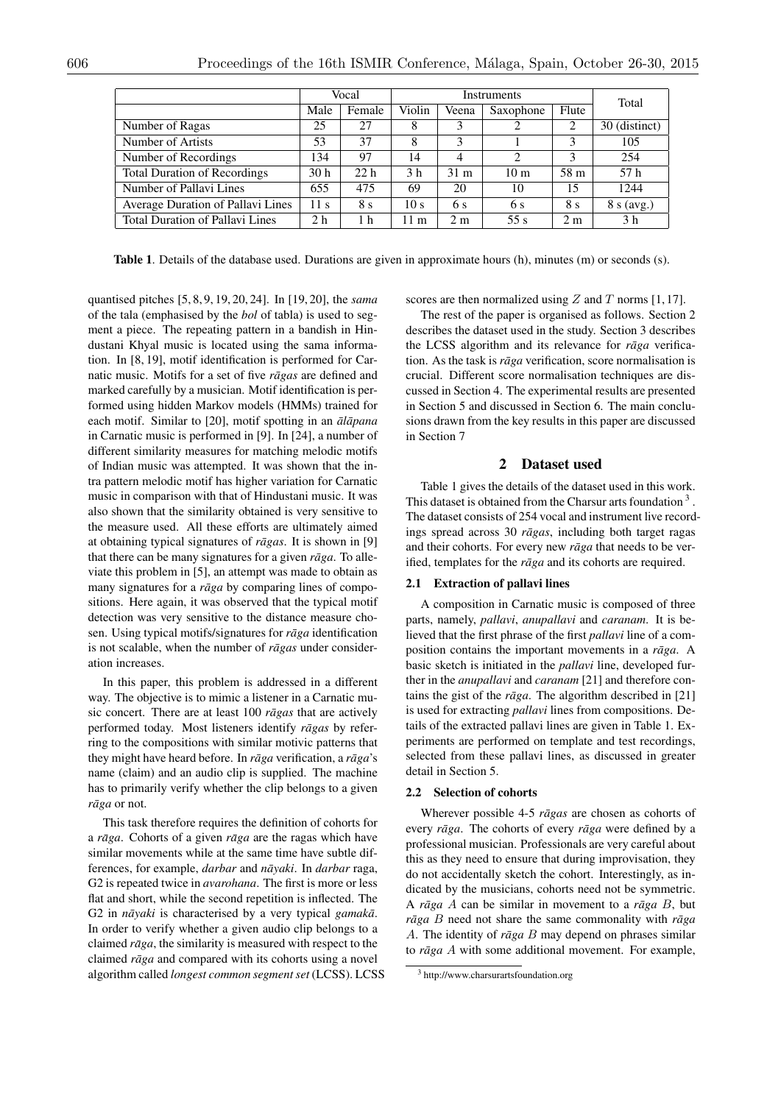|                                     | Vocal           |                 | Instruments     |                 |                               |                | Total            |
|-------------------------------------|-----------------|-----------------|-----------------|-----------------|-------------------------------|----------------|------------------|
|                                     | Male            | Female          | Violin          | Veena           | Saxophone                     | Flute          |                  |
| Number of Ragas                     | 25              | 27              | 8               | 3               | $\overline{c}$                | 2              | (distinct)<br>30 |
| Number of Artists                   | 53              | 37              | 8               | 3               |                               |                | 105              |
| Number of Recordings                | 134             | 97              | 14              | 4               | $\mathfrak{D}_{\mathfrak{p}}$ | 3              | 254              |
| <b>Total Duration of Recordings</b> | 30 <sub>h</sub> | 22 <sub>h</sub> | 3 <sub>h</sub>  | 31 <sub>m</sub> | 10 <sub>m</sub>               | 58 m           | 57 h             |
| Number of Pallavi Lines             | 655             | 475             | 69              | 20              | 10                            | 15             | 1244             |
| Average Duration of Pallavi Lines   | 11 <sub>s</sub> | 8 s             | 10 <sub>s</sub> | 6 s             | 6 s                           | 8 s            | 8 s (avg.)       |
| Total Duration of Pallavi Lines     | 2 h             | 1 h             | 11 m            | 2 <sub>m</sub>  | 55 s                          | 2 <sub>m</sub> | 3 h              |

Table 1. Details of the database used. Durations are given in approximate hours (h), minutes (m) or seconds (s).

quantised pitches [5, 8, 9, 19, 20, 24]. In [19, 20], the *sama* of the tala (emphasised by the *bol* of tabla) is used to segment a piece. The repeating pattern in a bandish in Hindustani Khyal music is located using the sama information. In [8, 19], motif identification is performed for Carnatic music. Motifs for a set of five *ragas* are defined and marked carefully by a musician. Motif identification is performed using hidden Markov models (HMMs) trained for each motif. Similar to [20], motif spotting in an  $\bar{a}$ *lapana* in Carnatic music is performed in [9]. In [24], a number of different similarity measures for matching melodic motifs of Indian music was attempted. It was shown that the intra pattern melodic motif has higher variation for Carnatic music in comparison with that of Hindustani music. It was also shown that the similarity obtained is very sensitive to the measure used. All these efforts are ultimately aimed at obtaining typical signatures of *rāgas*. It is shown in [9] that there can be many signatures for a given *rāga*. To alleviate this problem in [5], an attempt was made to obtain as many signatures for a *raga* by comparing lines of compositions. Here again, it was observed that the typical motif detection was very sensitive to the distance measure chosen. Using typical motifs/signatures for *raga* identification is not scalable, when the number of *rāgas* under consideration increases.

In this paper, this problem is addressed in a different way. The objective is to mimic a listener in a Carnatic music concert. There are at least 100 *ragas* that are actively performed today. Most listeners identify *ragas* by referring to the compositions with similar motivic patterns that they might have heard before. In *rāga* verification, a *rāga*'s name (claim) and an audio clip is supplied. The machine has to primarily verify whether the clip belongs to a given *r* $\bar{a}$ *ga* or not.

This task therefore requires the definition of cohorts for a *rāga*. Cohorts of a given *rāga* are the ragas which have similar movements while at the same time have subtle differences, for example, *darbar* and  $n\bar{a}yaki$ . In *darbar* raga, G2 is repeated twice in *avarohana*. The first is more or less flat and short, while the second repetition is inflected. The G2 in  $n\bar{a}yaki$  is characterised by a very typical *gamaka*. In order to verify whether a given audio clip belongs to a claimed *rāga*, the similarity is measured with respect to the claimed *raga* and compared with its cohorts using a novel algorithm called *longest common segment set* (LCSS). LCSS scores are then normalized using *Z* and *T* norms [1, 17].

The rest of the paper is organised as follows. Section 2 describes the dataset used in the study. Section 3 describes the LCSS algorithm and its relevance for *raga* verification. As the task is *rāga* verification, score normalisation is crucial. Different score normalisation techniques are discussed in Section 4. The experimental results are presented in Section 5 and discussed in Section 6. The main conclusions drawn from the key results in this paper are discussed in Section 7

# 2 Dataset used

Table 1 gives the details of the dataset used in this work. This dataset is obtained from the Charsur arts foundation 3. The dataset consists of 254 vocal and instrument live recordings spread across 30 *rāgas*, including both target ragas and their cohorts. For every new *raga* that needs to be verified, templates for the *rāga* and its cohorts are required.

#### 2.1 Extraction of pallavi lines

A composition in Carnatic music is composed of three parts, namely, *pallavi*, *anupallavi* and *caranam*. It is believed that the first phrase of the first *pallavi* line of a composition contains the important movements in a *rāga*. A basic sketch is initiated in the *pallavi* line, developed further in the *anupallavi* and *caranam* [21] and therefore contains the gist of the *rāga*. The algorithm described in [21] is used for extracting *pallavi* lines from compositions. Details of the extracted pallavi lines are given in Table 1. Experiments are performed on template and test recordings, selected from these pallavi lines, as discussed in greater detail in Section 5.

#### 2.2 Selection of cohorts

Wherever possible 4-5 *rāgas* are chosen as cohorts of every *rāga*. The cohorts of every *rāga* were defined by a professional musician. Professionals are very careful about this as they need to ensure that during improvisation, they do not accidentally sketch the cohort. Interestingly, as indicated by the musicians, cohorts need not be symmetric. A  $r\bar{a}g\bar{a}$  *A* can be similar in movement to a  $r\bar{a}g\bar{a}$  *B*, but  $r\bar{a}ga \, B$  need not share the same commonality with  $r\bar{a}ga$ *A*. The identity of *rāga B* may depend on phrases similar to  $r\bar{a}qa$  *A* with some additional movement. For example,

<sup>3</sup> http://www.charsurartsfoundation.org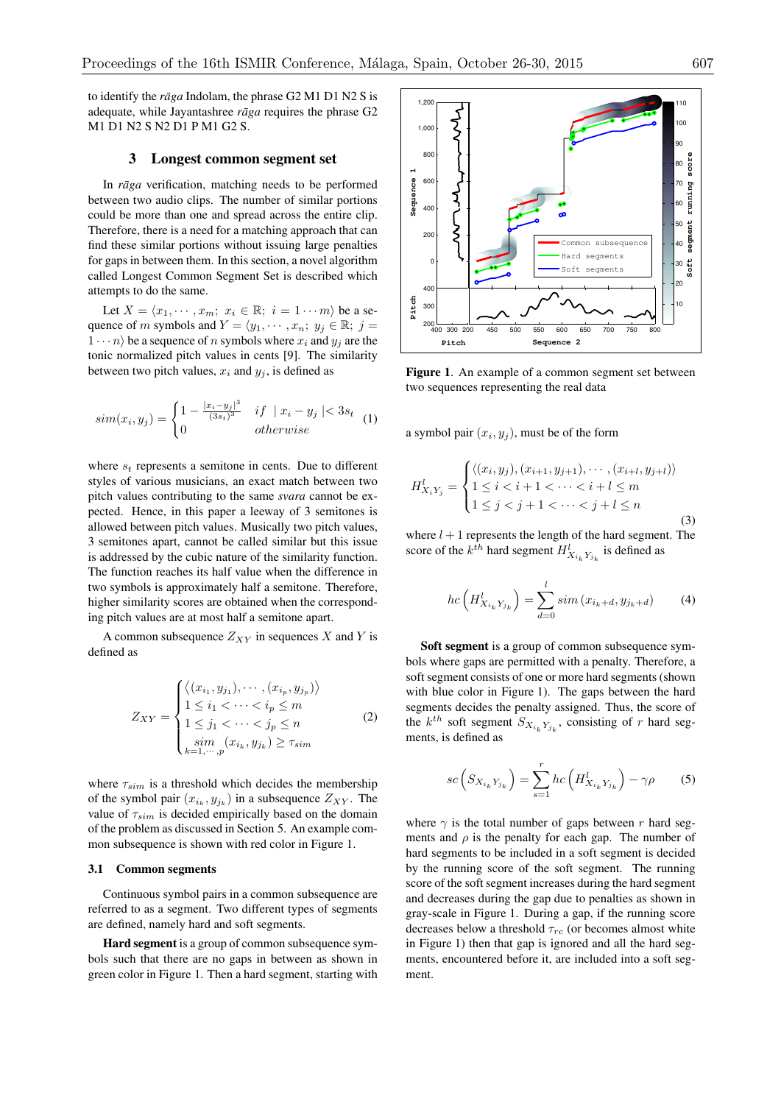to identify the  $r\bar{a}g$  *a* Indolam, the phrase G2 M1 D1 N2 S is adequate, while Jayantashree *raga* requires the phrase G2 M1 D1 N2 S N2 D1 P M1 G2 S.

# 3 Longest common segment set

In *rāga* verification, matching needs to be performed between two audio clips. The number of similar portions could be more than one and spread across the entire clip. Therefore, there is a need for a matching approach that can find these similar portions without issuing large penalties for gaps in between them. In this section, a novel algorithm called Longest Common Segment Set is described which attempts to do the same.

Let  $X = \langle x_1, \cdots, x_m; x_i \in \mathbb{R}; i = 1 \cdots m \rangle$  be a sequence of *m* symbols and  $Y = \langle y_1, \cdots, x_n; y_j \in \mathbb{R}; j =$  $1 \cdots n$  be a sequence of *n* symbols where  $x_i$  and  $y_j$  are the tonic normalized pitch values in cents [9]. The similarity between two pitch values,  $x_i$  and  $y_j$ , is defined as

$$
sim(x_i, y_j) = \begin{cases} 1 - \frac{|x_i - y_j|^3}{(3s_t)^3} & if \mid x_i - y_j \mid < 3s_t \\ 0 & otherwise \end{cases}
$$
(1)

where  $s_t$  represents a semitone in cents. Due to different styles of various musicians, an exact match between two pitch values contributing to the same *svara* cannot be expected. Hence, in this paper a leeway of 3 semitones is allowed between pitch values. Musically two pitch values, 3 semitones apart, cannot be called similar but this issue is addressed by the cubic nature of the similarity function. The function reaches its half value when the difference in two symbols is approximately half a semitone. Therefore, higher similarity scores are obtained when the corresponding pitch values are at most half a semitone apart.

A common subsequence  $Z_{XY}$  in sequences  $X$  and  $Y$  is defined as

$$
Z_{XY} = \begin{cases} \langle (x_{i_1}, y_{j_1}), \cdots, (x_{i_p}, y_{j_p}) \rangle \\ 1 \leq i_1 < \cdots < i_p \leq m \\ 1 \leq j_1 < \cdots < j_p \leq n \\ \lim_{k=1, \cdots, p} (x_{i_k}, y_{j_k}) \geq \tau_{sim} \end{cases} \tag{2}
$$

where  $\tau_{sim}$  is a threshold which decides the membership of the symbol pair  $(x_{i_k}, y_{j_k})$  in a subsequence  $Z_{XY}$ . The value of  $\tau_{sim}$  is decided empirically based on the domain of the problem as discussed in Section 5. An example common subsequence is shown with red color in Figure 1.

## 3.1 Common segments

Continuous symbol pairs in a common subsequence are referred to as a segment. Two different types of segments are defined, namely hard and soft segments.

Hard segment is a group of common subsequence symbols such that there are no gaps in between as shown in green color in Figure 1. Then a hard segment, starting with



Figure 1. An example of a common segment set between two sequences representing the real data

a symbol pair  $(x_i, y_j)$ , must be of the form

$$
H_{X_iY_j}^l = \begin{cases} \langle (x_i, y_j), (x_{i+1}, y_{j+1}), \cdots, (x_{i+l}, y_{j+l}) \rangle \\ 1 \le i < i+1 < \cdots < i+l \le m \\ 1 \le j < j+1 < \cdots < j+l \le n \end{cases} \tag{3}
$$

where  $l + 1$  represents the length of the hard segment. The score of the  $k^{th}$  hard segment  $H^l_{X_{i_k}Y_{j_k}}$  is defined as

$$
hc\left(H_{X_{i_k}Y_{j_k}}^l\right) = \sum_{d=0}^l sim\left(x_{i_k+d}, y_{j_k+d}\right) \tag{4}
$$

Soft segment is a group of common subsequence symbols where gaps are permitted with a penalty. Therefore, a soft segment consists of one or more hard segments (shown with blue color in Figure 1). The gaps between the hard segments decides the penalty assigned. Thus, the score of the  $k^{th}$  soft segment  $S_{X_{i_k}Y_{j_k}}$ , consisting of *r* hard segments, is defined as

$$
sc\left(S_{X_{i_k}Y_{j_k}}\right) = \sum_{s=1}^r hc\left(H_{X_{i_k}Y_{j_k}}'\right) - \gamma \rho \tag{5}
$$

where  $\gamma$  is the total number of gaps between *r* hard segments and  $\rho$  is the penalty for each gap. The number of hard segments to be included in a soft segment is decided by the running score of the soft segment. The running score of the soft segment increases during the hard segment and decreases during the gap due to penalties as shown in gray-scale in Figure 1. During a gap, if the running score decreases below a threshold  $\tau_{rc}$  (or becomes almost white in Figure 1) then that gap is ignored and all the hard segments, encountered before it, are included into a soft segment.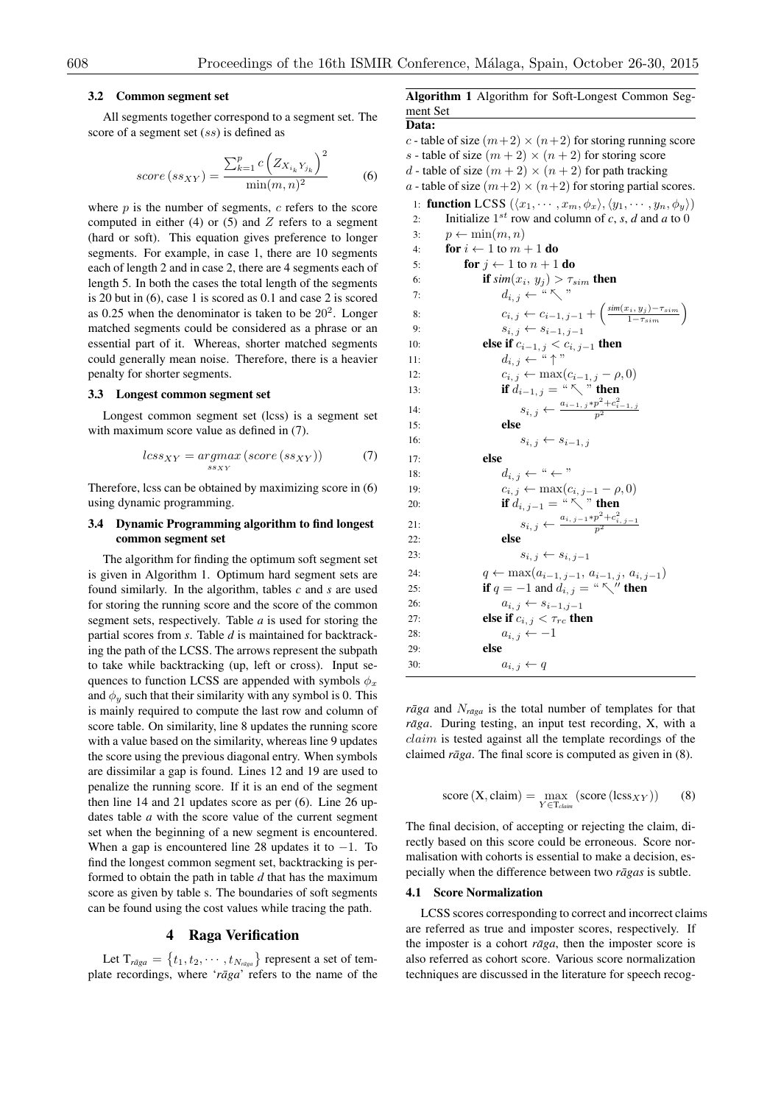#### 3.2 Common segment set

All segments together correspond to a segment set. The score of a segment set (*ss*) is defined as

$$
score(s_{SXY}) = \frac{\sum_{k=1}^{p} c\left(Z_{X_{i_k}Y_{j_k}}\right)^2}{\min(m, n)^2}
$$
 (6)

where *p* is the number of segments, *c* refers to the score computed in either  $(4)$  or  $(5)$  and  $Z$  refers to a segment (hard or soft). This equation gives preference to longer segments. For example, in case 1, there are 10 segments each of length 2 and in case 2, there are 4 segments each of length 5. In both the cases the total length of the segments is 20 but in (6), case 1 is scored as 0.1 and case 2 is scored as 0.25 when the denominator is taken to be  $20^2$ . Longer matched segments could be considered as a phrase or an essential part of it. Whereas, shorter matched segments could generally mean noise. Therefore, there is a heavier penalty for shorter segments.

## 3.3 Longest common segment set

Longest common segment set (lcss) is a segment set with maximum score value as defined in  $(7)$ .

$$
less_{XY} = argmax_{ss_{XY}} (score(s_{SXY}))
$$
 (7)

Therefore, lcss can be obtained by maximizing score in (6) using dynamic programming.

# 3.4 Dynamic Programming algorithm to find longest common segment set

The algorithm for finding the optimum soft segment set is given in Algorithm 1. Optimum hard segment sets are found similarly. In the algorithm, tables *c* and *s* are used for storing the running score and the score of the common segment sets, respectively. Table *a* is used for storing the partial scores from *s*. Table *d* is maintained for backtracking the path of the LCSS. The arrows represent the subpath to take while backtracking (up, left or cross). Input sequences to function LCSS are appended with symbols  $\phi_x$ and  $\phi_y$  such that their similarity with any symbol is 0. This is mainly required to compute the last row and column of score table. On similarity, line 8 updates the running score with a value based on the similarity, whereas line 9 updates the score using the previous diagonal entry. When symbols are dissimilar a gap is found. Lines 12 and 19 are used to penalize the running score. If it is an end of the segment then line 14 and 21 updates score as per (6). Line 26 updates table *a* with the score value of the current segment set when the beginning of a new segment is encountered. When a gap is encountered line 28 updates it to  $-1$ . To find the longest common segment set, backtracking is performed to obtain the path in table *d* that has the maximum score as given by table s. The boundaries of soft segments can be found using the cost values while tracing the path.

### 4 Raga Verification

Let  $T_{r\bar{a}ga} = \{t_1, t_2, \cdots, t_{N_{r\bar{a}ga}}\}$  represent a set of template recordings, where 'raga' refers to the name of the Algorithm 1 Algorithm for Soft-Longest Common Segment Set Data:

*c* - table of size  $(m+2) \times (n+2)$  for storing running score *s* - table of size  $(m+2) \times (n+2)$  for storing score *d* - table of size  $(m+2) \times (n+2)$  for path tracking

*a* - table of size  $(m+2) \times (n+2)$  for storing partial scores.

1: **function** LCSS  $(\langle x_1, \cdots, x_m, \phi_x \rangle, \langle y_1, \cdots, y_n, \phi_y \rangle)$ <br>2: Initialize 1<sup>st</sup> row and column of *c*, *s*, *d* and *a* to 0 Initialize  $1^{st}$  row and column of *c*, *s*, *d* and *a* to 0 3:  $p \leftarrow \min(m, n)$ <br>4: **for**  $i \leftarrow 1$  to  $m$ . 4: **for**  $i \leftarrow 1$  to  $m + 1$  **do**<br>5: **for**  $i \leftarrow 1$  to  $n + 1$ 5: **for**  $j \leftarrow 1$  to  $n + 1$  **do**<br>6: **if**  $\sin(x_i, y_i) > \tau$ . 6: **if**  $\textit{sim}(x_i, y_j) > \tau_{sim}$  then 7:  $d_{i, j} \leftarrow " \nwarrow"$ 8:  $c_{i,j} \leftarrow c_{i-1,j-1} + \left( \frac{\sin(x_i, y_j) - \tau_{sim}}{1 - \tau_{sim}} \right)$ 9:  $s_{i, j} \leftarrow s_{i-1, j-1}$ <br>
10: **else if**  $c_{i-1, i} \leq c_{i, j}$ 10: **else if**  $c_{i-1, j} < c_{i, j-1}$  then 11:  $d_{i,j} \leftarrow " \uparrow"$ 12:  $c_{i,j} \leftarrow \max(c_{i-1,j} - \rho, 0)$ <br>13: **if**  $d_{i-1,i} = \sqrt[n]{\ }$  **then** if  $d_{i-1, j} = \sqrt{\alpha} \sum_{j=1}^{n} \sum_{j=1}^{n} p_j$ 14:  $s_{i, j} \leftarrow \frac{a_{i-1, j} * p^2 + c_{i-1, j}^2}{p^2}$ 15: else 16:  $s_{i, j} \leftarrow s_{i-1, j}$ 17: else 18:  $d_{i,j} \leftarrow " \leftarrow "$ <br>
19:  $c_{i,j} \leftarrow \max(c_i$ 19:  $c_{i, j} \leftarrow \max(c_{i, j-1} - \rho, 0)$ <br>20: **if**  $d_{i, j-1} = {a \sum_{i} a_{i}}$ , then if  $d_{i, j-1} = \sqrt[n]{x}$  then 21:  $s_{i, j} \leftarrow \frac{a_{i, j-1} * p^2 + c_{i, j-1}^2}{p^2}$ 22: else 23:  $s_{i, j} \leftarrow s_{i, j-1}$ 24:  $q \leftarrow \max(a_{i-1,j-1}, a_{i-1,j}, a_{i,j-1})$ 25: **if**  $q = -1$  and  $d_{i, j} = " \nwarrow"$  **then** 26:  $a_{i, j} \leftarrow s_{i-1, j-1}$ <br>27: **else if**  $c_{i, j} < \tau_{rc}$  the else if  $c_{i,j} < \tau_{rc}$  then 28:  $a_{i,j} \leftarrow -1$ <br>29. **else** else 30:  $a_{i,j} \leftarrow q$ 

*rāga* and  $N_{\text{rāga}}$  is the total number of templates for that *rāga*. During testing, an input test recording, X, with a *claim* is tested against all the template recordings of the claimed  $r\bar{a}ga$ . The final score is computed as given in  $(8)$ .

score 
$$
(X, claim) = \max_{Y \in T_{claim}} (score (less_{XY}))
$$
 (8)

The final decision, of accepting or rejecting the claim, directly based on this score could be erroneous. Score normalisation with cohorts is essential to make a decision, especially when the difference between two *rāgas* is subtle.

#### 4.1 Score Normalization

LCSS scores corresponding to correct and incorrect claims are referred as true and imposter scores, respectively. If the imposter is a cohort  $r\bar{a}ga$ , then the imposter score is also referred as cohort score. Various score normalization techniques are discussed in the literature for speech recog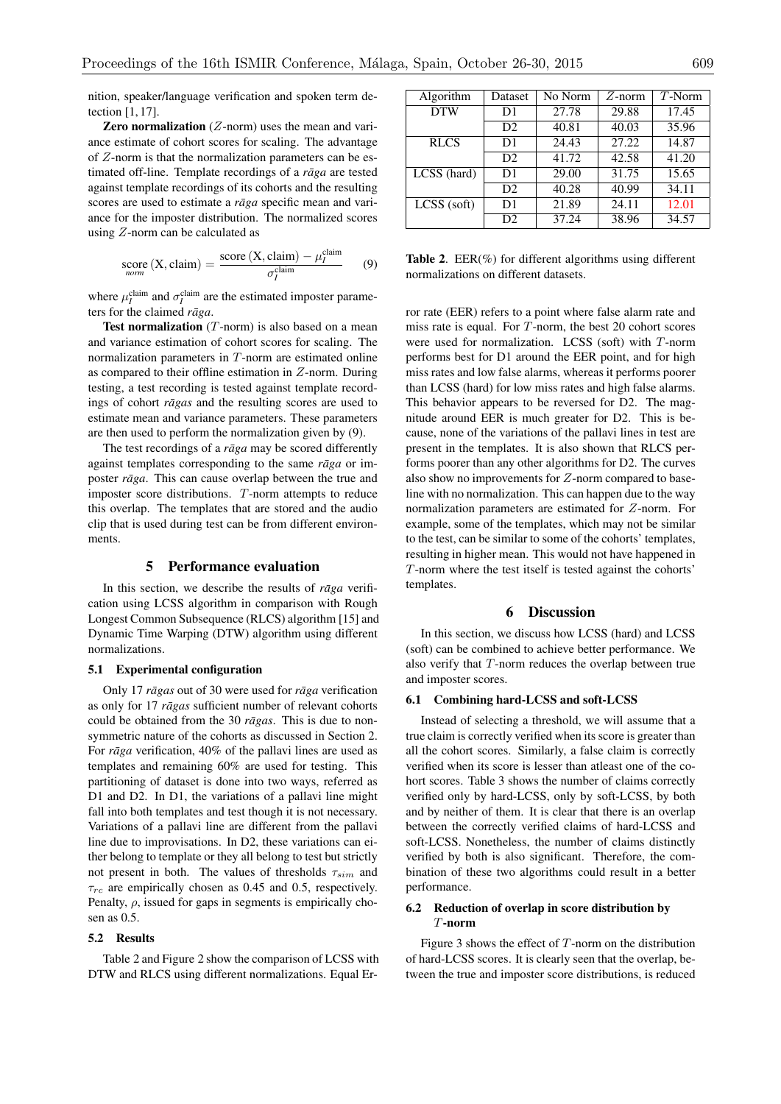nition, speaker/language verification and spoken term detection [1, 17].

# Zero normalization (*Z*-norm) uses the mean and variance estimate of cohort scores for scaling. The advantage of *Z*-norm is that the normalization parameters can be estimated off-line. Template recordings of a *raga* are tested against template recordings of its cohorts and the resulting scores are used to estimate a *raga* specific mean and variance for the imposter distribution. The normalized scores using *Z*-norm can be calculated as

score (X, claim) = 
$$
\frac{\text{score}(X, claim) - \mu_I^{\text{claim}}}{\sigma_I^{\text{claim}}}
$$
 (9)

where  $\mu_I^{\text{claim}}$  and  $\sigma_I^{\text{claim}}$  are the estimated imposter parameters for the claimed *rāga*.

Test normalization (*T*-norm) is also based on a mean and variance estimation of cohort scores for scaling. The normalization parameters in *T*-norm are estimated online as compared to their offline estimation in *Z*-norm. During testing, a test recording is tested against template recordings of cohort *rāgas* and the resulting scores are used to estimate mean and variance parameters. These parameters are then used to perform the normalization given by (9).

The test recordings of a *rāga* may be scored differently against templates corresponding to the same *raga* or imposter *rāga*. This can cause overlap between the true and imposter score distributions. *T*-norm attempts to reduce this overlap. The templates that are stored and the audio clip that is used during test can be from different environments.

# 5 Performance evaluation

In this section, we describe the results of  $r \bar{a} g a$  verification using LCSS algorithm in comparison with Rough Longest Common Subsequence (RLCS) algorithm [15] and Dynamic Time Warping (DTW) algorithm using different normalizations.

# 5.1 Experimental configuration

Only 17 *rāgas* out of 30 were used for *rāga* verification as only for 17 *rāgas* sufficient number of relevant cohorts could be obtained from the 30 *ragas*. This is due to nonsymmetric nature of the cohorts as discussed in Section 2. For *rāga* verification, 40% of the pallavi lines are used as templates and remaining 60% are used for testing. This partitioning of dataset is done into two ways, referred as D1 and D2. In D1, the variations of a pallavi line might fall into both templates and test though it is not necessary. Variations of a pallavi line are different from the pallavi line due to improvisations. In D2, these variations can either belong to template or they all belong to test but strictly not present in both. The values of thresholds  $\tau_{sim}$  and  $\tau_{rc}$  are empirically chosen as 0.45 and 0.5, respectively. Penalty,  $\rho$ , issued for gaps in segments is empirically chosen as 0.5.

### 5.2 Results

Table 2 and Figure 2 show the comparison of LCSS with DTW and RLCS using different normalizations. Equal Er-

| Algorithm     | Dataset        | No Norm | $Z$ -norm | $T$ -Norm |
|---------------|----------------|---------|-----------|-----------|
| <b>DTW</b>    | D1             | 27.78   | 29.88     | 17.45     |
|               | D <sub>2</sub> | 40.81   | 40.03     | 35.96     |
| <b>RLCS</b>   | D1             | 24.43   | 27.22     | 14.87     |
|               | D <sub>2</sub> | 41.72   | 42.58     | 41.20     |
| LCSS (hard)   | D1             | 29.00   | 31.75     | 15.65     |
|               | D <sub>2</sub> | 40.28   | 40.99     | 34.11     |
| $LCSS$ (soft) | D1             | 21.89   | 24.11     | 12.01     |
|               | D <sub>2</sub> | 37.24   | 38.96     | 34.57     |

Table 2. EER(%) for different algorithms using different normalizations on different datasets.

ror rate (EER) refers to a point where false alarm rate and miss rate is equal. For *T*-norm, the best 20 cohort scores were used for normalization. LCSS (soft) with *T*-norm performs best for D1 around the EER point, and for high miss rates and low false alarms, whereas it performs poorer than LCSS (hard) for low miss rates and high false alarms. This behavior appears to be reversed for D2. The magnitude around EER is much greater for D2. This is because, none of the variations of the pallavi lines in test are present in the templates. It is also shown that RLCS performs poorer than any other algorithms for D2. The curves also show no improvements for *Z*-norm compared to baseline with no normalization. This can happen due to the way normalization parameters are estimated for *Z*-norm. For example, some of the templates, which may not be similar to the test, can be similar to some of the cohorts' templates, resulting in higher mean. This would not have happened in *T*-norm where the test itself is tested against the cohorts' templates.

### 6 Discussion

In this section, we discuss how LCSS (hard) and LCSS (soft) can be combined to achieve better performance. We also verify that *T*-norm reduces the overlap between true and imposter scores.

### 6.1 Combining hard-LCSS and soft-LCSS

Instead of selecting a threshold, we will assume that a true claim is correctly verified when its score is greater than all the cohort scores. Similarly, a false claim is correctly verified when its score is lesser than atleast one of the cohort scores. Table 3 shows the number of claims correctly verified only by hard-LCSS, only by soft-LCSS, by both and by neither of them. It is clear that there is an overlap between the correctly verified claims of hard-LCSS and soft-LCSS. Nonetheless, the number of claims distinctly verified by both is also significant. Therefore, the combination of these two algorithms could result in a better performance.

# 6.2 Reduction of overlap in score distribution by *T*-norm

Figure 3 shows the effect of *T*-norm on the distribution of hard-LCSS scores. It is clearly seen that the overlap, between the true and imposter score distributions, is reduced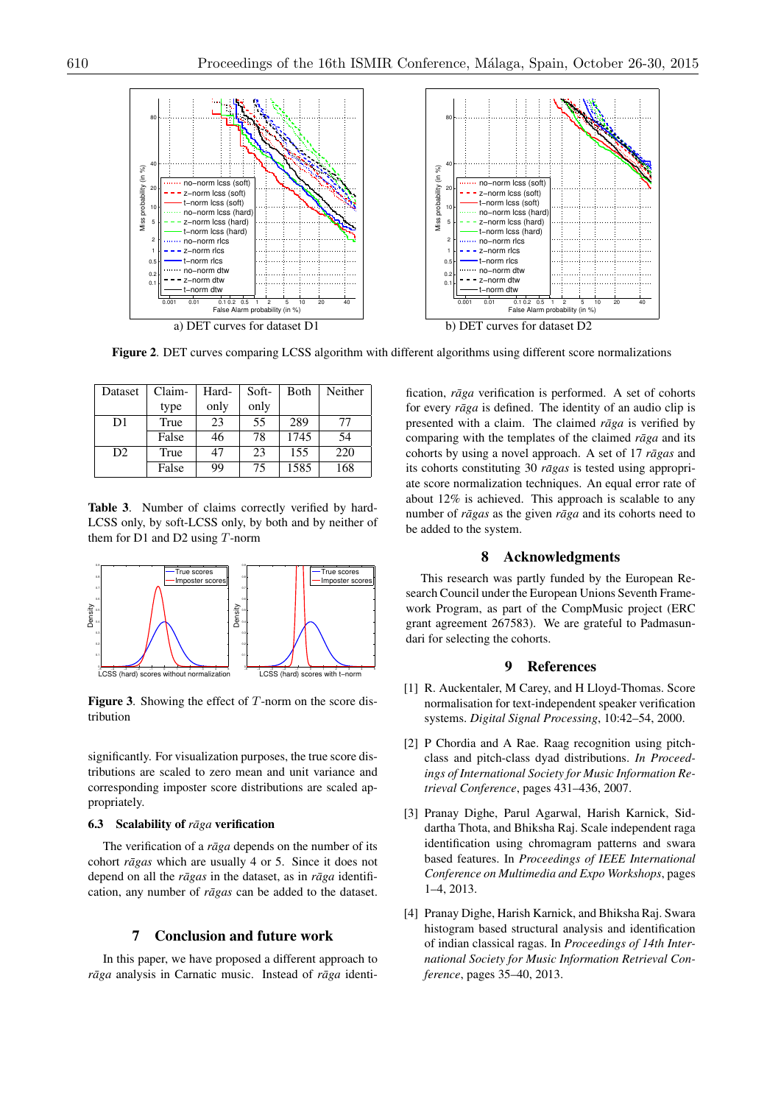

Figure 2. DET curves comparing LCSS algorithm with different algorithms using different score normalizations

| Dataset        | Claim- | Hard- | Soft- | <b>B</b> oth | Neither |
|----------------|--------|-------|-------|--------------|---------|
|                | type   | only  | only  |              |         |
| D1             | True   | 23    | 55    | 289          | 77      |
|                | False  | 46    | 78    | 1745         | 54      |
| D <sub>2</sub> | True   | 47    | 23    | 155          | 220     |
|                | False  | 99    | 75    | 1585         | 168     |

Table 3. Number of claims correctly verified by hard-LCSS only, by soft-LCSS only, by both and by neither of them for D1 and D2 using *T*-norm



Figure 3. Showing the effect of *T*-norm on the score distribution

significantly. For visualization purposes, the true score distributions are scaled to zero mean and unit variance and corresponding imposter score distributions are scaled appropriately.

### 6.3 Scalability of *rāga* verification

The verification of a *raga* depends on the number of its cohort *rāgas* which are usually 4 or 5. Since it does not depend on all the  $r\bar{a}gas$  in the dataset, as in  $r\bar{a}ga$  identification, any number of  $r\bar{a}gas$  can be added to the dataset.

## 7 Conclusion and future work

In this paper, we have proposed a different approach to *rāga* analysis in Carnatic music. Instead of *rāga* identification, *rāga* verification is performed. A set of cohorts for every *rāga* is defined. The identity of an audio clip is presented with a claim. The claimed *raga* is verified by comparing with the templates of the claimed  $r\bar{a}ga$  and its cohorts by using a novel approach. A set of 17 *ragas* and its cohorts constituting 30 *ragas* is tested using appropriate score normalization techniques. An equal error rate of about 12% is achieved. This approach is scalable to any number of *rāgas* as the given *rāga* and its cohorts need to be added to the system.

# 8 Acknowledgments

This research was partly funded by the European Research Council under the European Unions Seventh Framework Program, as part of the CompMusic project (ERC grant agreement 267583). We are grateful to Padmasundari for selecting the cohorts.

# 9 References

- [1] R. Auckentaler, M Carey, and H Lloyd-Thomas. Score normalisation for text-independent speaker verification systems. *Digital Signal Processing*, 10:42–54, 2000.
- [2] P Chordia and A Rae. Raag recognition using pitchclass and pitch-class dyad distributions. *In Proceedings of International Society for Music Information Retrieval Conference*, pages 431–436, 2007.
- [3] Pranay Dighe, Parul Agarwal, Harish Karnick, Siddartha Thota, and Bhiksha Raj. Scale independent raga identification using chromagram patterns and swara based features. In *Proceedings of IEEE International Conference on Multimedia and Expo Workshops*, pages 1–4, 2013.
- [4] Pranay Dighe, Harish Karnick, and Bhiksha Raj. Swara histogram based structural analysis and identification of indian classical ragas. In *Proceedings of 14th International Society for Music Information Retrieval Conference*, pages 35–40, 2013.